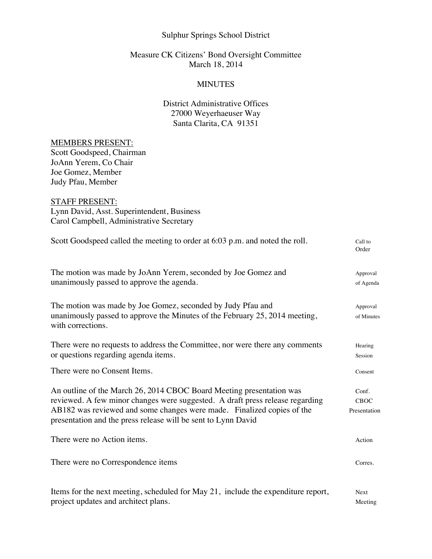## Sulphur Springs School District

## Measure CK Citizens' Bond Oversight Committee March 18, 2014

### **MINUTES**

# District Administrative Offices 27000 Weyerhaeuser Way Santa Clarita, CA 91351

### MEMBERS PRESENT:

Scott Goodspeed, Chairman JoAnn Yerem, Co Chair Joe Gomez, Member Judy Pfau, Member

## STAFF PRESENT:

Lynn David, Asst. Superintendent, Business Carol Campbell, Administrative Secretary

| Scott Goodspeed called the meeting to order at 6:03 p.m. and noted the roll.                                                                                                                                                                                                                     | Call to<br>Order                     |
|--------------------------------------------------------------------------------------------------------------------------------------------------------------------------------------------------------------------------------------------------------------------------------------------------|--------------------------------------|
| The motion was made by JoAnn Yerem, seconded by Joe Gomez and<br>unanimously passed to approve the agenda.                                                                                                                                                                                       | Approval<br>of Agenda                |
| The motion was made by Joe Gomez, seconded by Judy Pfau and<br>unanimously passed to approve the Minutes of the February 25, 2014 meeting,<br>with corrections.                                                                                                                                  | Approval<br>of Minutes               |
| There were no requests to address the Committee, nor were there any comments<br>or questions regarding agenda items.                                                                                                                                                                             | Hearing<br>Session                   |
| There were no Consent Items.                                                                                                                                                                                                                                                                     | Consent                              |
| An outline of the March 26, 2014 CBOC Board Meeting presentation was<br>reviewed. A few minor changes were suggested. A draft press release regarding<br>AB182 was reviewed and some changes were made. Finalized copies of the<br>presentation and the press release will be sent to Lynn David | Conf.<br><b>CBOC</b><br>Presentation |
| There were no Action items.                                                                                                                                                                                                                                                                      | Action                               |
| There were no Correspondence items                                                                                                                                                                                                                                                               | Corres.                              |
| Items for the next meeting, scheduled for May 21, include the expenditure report,<br>project updates and architect plans.                                                                                                                                                                        | <b>Next</b><br>Meeting               |